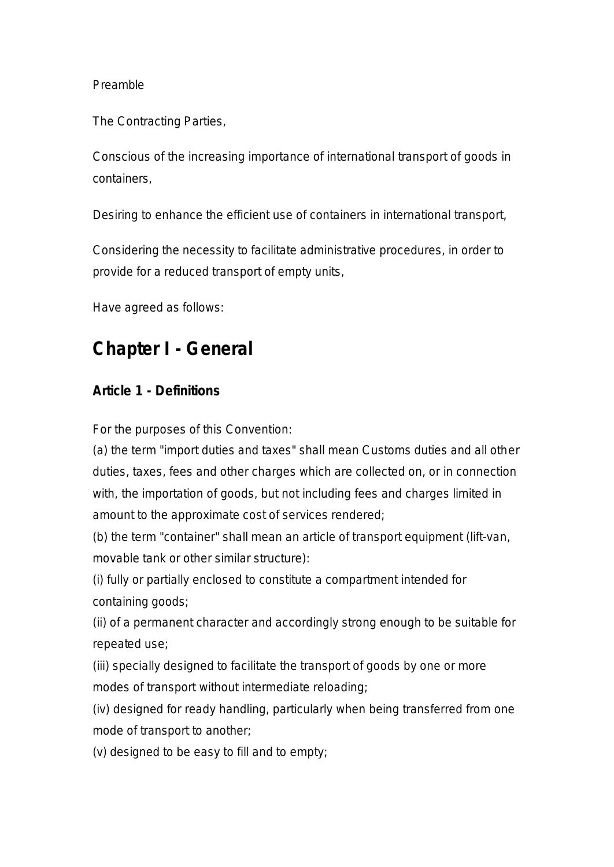#### Preamble

The Contracting Parties,

Conscious of the increasing importance of international transport of goods in containers,

Desiring to enhance the efficient use of containers in international transport,

Considering the necessity to facilitate administrative procedures, in order to provide for a reduced transport of empty units,

Have agreed as follows:

# **Chapter I - General**

#### **Article 1 - Definitions**

For the purposes of this Convention:

(a) the term "import duties and taxes" shall mean Customs duties and all other duties, taxes, fees and other charges which are collected on, or in connection with, the importation of goods, but not including fees and charges limited in amount to the approximate cost of services rendered;

(b) the term "container" shall mean an article of transport equipment (lift-van, movable tank or other similar structure):

(i) fully or partially enclosed to constitute a compartment intended for containing goods;

(ii) of a permanent character and accordingly strong enough to be suitable for repeated use;

(iii) specially designed to facilitate the transport of goods by one or more modes of transport without intermediate reloading;

(iv) designed for ready handling, particularly when being transferred from one mode of transport to another;

(v) designed to be easy to fill and to empty;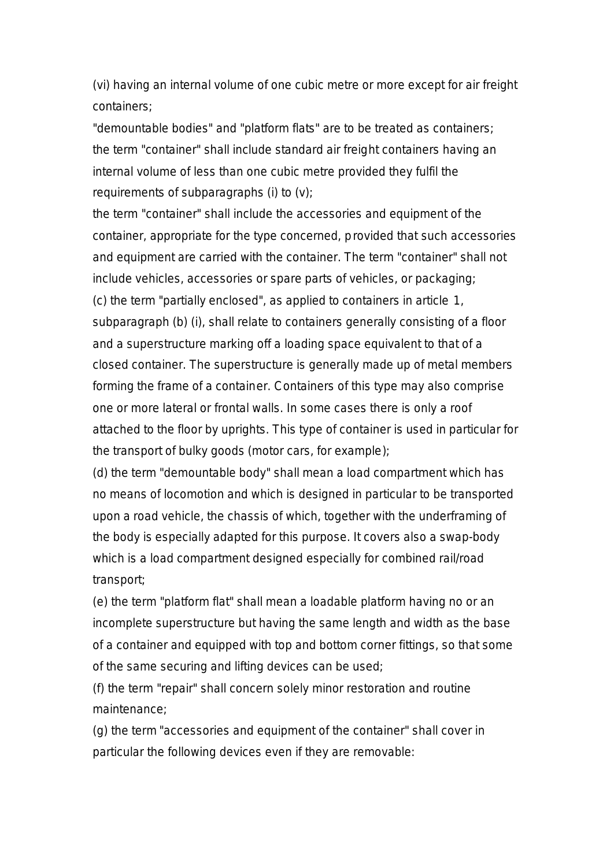(vi) having an internal volume of one cubic metre or more except for air freight containers;

"demountable bodies" and "platform flats" are to be treated as containers; the term "container" shall include standard air freight containers having an internal volume of less than one cubic metre provided they fulfil the requirements of subparagraphs (i) to (v);

the term "container" shall include the accessories and equipment of the container, appropriate for the type concerned, provided that such accessories and equipment are carried with the container. The term "container" shall not include vehicles, accessories or spare parts of vehicles, or packaging; (c) the term "partially enclosed", as applied to containers in article 1, subparagraph (b) (i), shall relate to containers generally consisting of a floor and a superstructure marking off a loading space equivalent to that of a closed container. The superstructure is generally made up of metal members forming the frame of a container. Containers of this type may also comprise one or more lateral or frontal walls. In some cases there is only a roof attached to the floor by uprights. This type of container is used in particular for the transport of bulky goods (motor cars, for example);

(d) the term "demountable body" shall mean a load compartment which has no means of locomotion and which is designed in particular to be transported upon a road vehicle, the chassis of which, together with the underframing of the body is especially adapted for this purpose. It covers also a swap-body which is a load compartment designed especially for combined rail/road transport;

(e) the term "platform flat" shall mean a loadable platform having no or an incomplete superstructure but having the same length and width as the base of a container and equipped with top and bottom corner fittings, so that some of the same securing and lifting devices can be used;

(f) the term "repair" shall concern solely minor restoration and routine maintenance;

(g) the term "accessories and equipment of the container" shall cover in particular the following devices even if they are removable: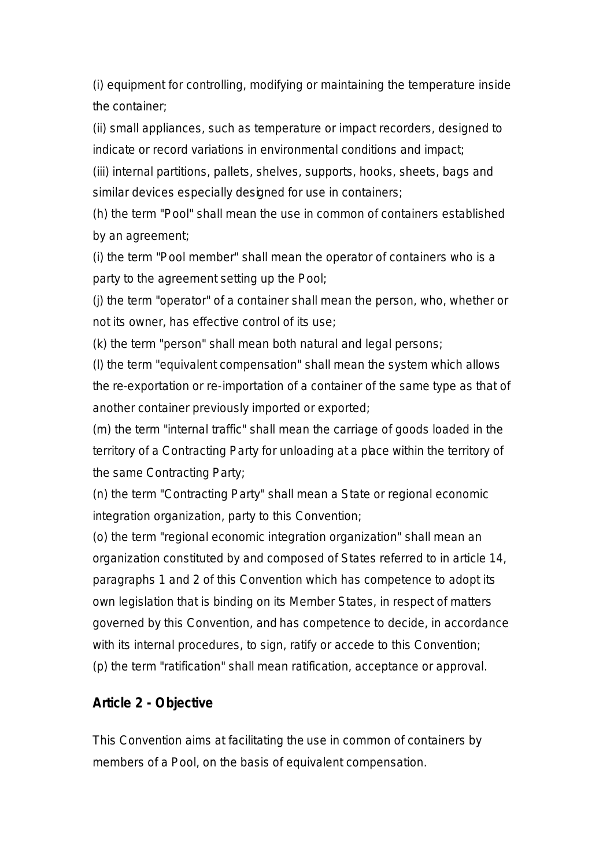(i) equipment for controlling, modifying or maintaining the temperature inside the container;

(ii) small appliances, such as temperature or impact recorders, designed to indicate or record variations in environmental conditions and impact;

(iii) internal partitions, pallets, shelves, supports, hooks, sheets, bags and similar devices especially designed for use in containers;

(h) the term "Pool" shall mean the use in common of containers established by an agreement;

(i) the term "Pool member" shall mean the operator of containers who is a party to the agreement setting up the Pool;

(j) the term "operator" of a container shall mean the person, who, whether or not its owner, has effective control of its use;

(k) the term "person" shall mean both natural and legal persons;

(l) the term "equivalent compensation" shall mean the system which allows the re-exportation or re-importation of a container of the same type as that of another container previously imported or exported;

(m) the term "internal traffic" shall mean the carriage of goods loaded in the territory of a Contracting Party for unloading at a place within the territory of the same Contracting Party;

(n) the term "Contracting Party" shall mean a State or regional economic integration organization, party to this Convention;

(o) the term "regional economic integration organization" shall mean an organization constituted by and composed of States referred to in article 14, paragraphs 1 and 2 of this Convention which has competence to adopt its own legislation that is binding on its Member States, in respect of matters governed by this Convention, and has competence to decide, in accordance with its internal procedures, to sign, ratify or accede to this Convention; (p) the term "ratification" shall mean ratification, acceptance or approval.

#### **Article 2 - Objective**

This Convention aims at facilitating the use in common of containers by members of a Pool, on the basis of equivalent compensation.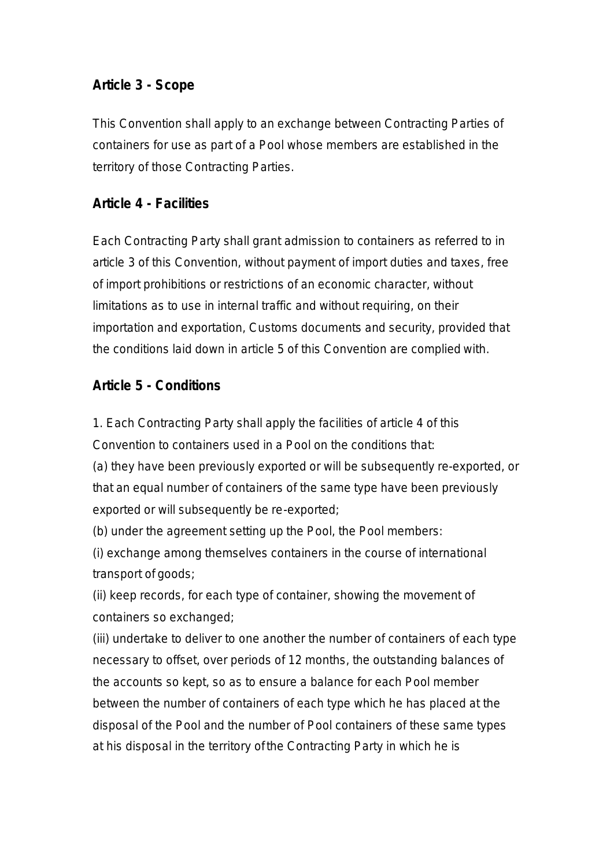### **Article 3 - Scope**

This Convention shall apply to an exchange between Contracting Parties of containers for use as part of a Pool whose members are established in the territory of those Contracting Parties.

#### **Article 4 - Facilities**

Each Contracting Party shall grant admission to containers as referred to in article 3 of this Convention, without payment of import duties and taxes, free of import prohibitions or restrictions of an economic character, without limitations as to use in internal traffic and without requiring, on their importation and exportation, Customs documents and security, provided that the conditions laid down in article 5 of this Convention are complied with.

#### **Article 5 - Conditions**

1. Each Contracting Party shall apply the facilities of article 4 of this Convention to containers used in a Pool on the conditions that:

(a) they have been previously exported or will be subsequently re-exported, or that an equal number of containers of the same type have been previously exported or will subsequently be re-exported;

(b) under the agreement setting up the Pool, the Pool members:

(i) exchange among themselves containers in the course of international transport of goods;

(ii) keep records, for each type of container, showing the movement of containers so exchanged;

(iii) undertake to deliver to one another the number of containers of each type necessary to offset, over periods of 12 months, the outstanding balances of the accounts so kept, so as to ensure a balance for each Pool member between the number of containers of each type which he has placed at the disposal of the Pool and the number of Pool containers of these same types at his disposal in the territory of the Contracting Party in which he is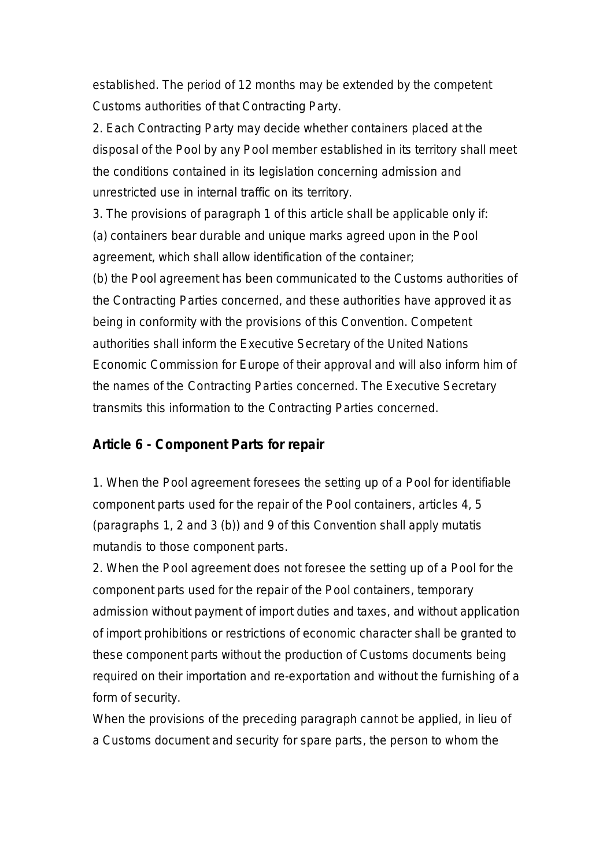established. The period of 12 months may be extended by the competent Customs authorities of that Contracting Party.

2. Each Contracting Party may decide whether containers placed at the disposal of the Pool by any Pool member established in its territory shall meet the conditions contained in its legislation concerning admission and unrestricted use in internal traffic on its territory.

3. The provisions of paragraph 1 of this article shall be applicable only if:

(a) containers bear durable and unique marks agreed upon in the Pool agreement, which shall allow identification of the container;

(b) the Pool agreement has been communicated to the Customs authorities of the Contracting Parties concerned, and these authorities have approved it as being in conformity with the provisions of this Convention. Competent authorities shall inform the Executive Secretary of the United Nations Economic Commission for Europe of their approval and will also inform him of the names of the Contracting Parties concerned. The Executive Secretary transmits this information to the Contracting Parties concerned.

#### **Article 6 - Component Parts for repair**

1. When the Pool agreement foresees the setting up of a Pool for identifiable component parts used for the repair of the Pool containers, articles 4, 5 (paragraphs 1, 2 and 3 (b)) and 9 of this Convention shall apply mutatis mutandis to those component parts.

2. When the Pool agreement does not foresee the setting up of a Pool for the component parts used for the repair of the Pool containers, temporary admission without payment of import duties and taxes, and without application of import prohibitions or restrictions of economic character shall be granted to these component parts without the production of Customs documents being required on their importation and re-exportation and without the furnishing of a form of security.

When the provisions of the preceding paragraph cannot be applied, in lieu of a Customs document and security for spare parts, the person to whom the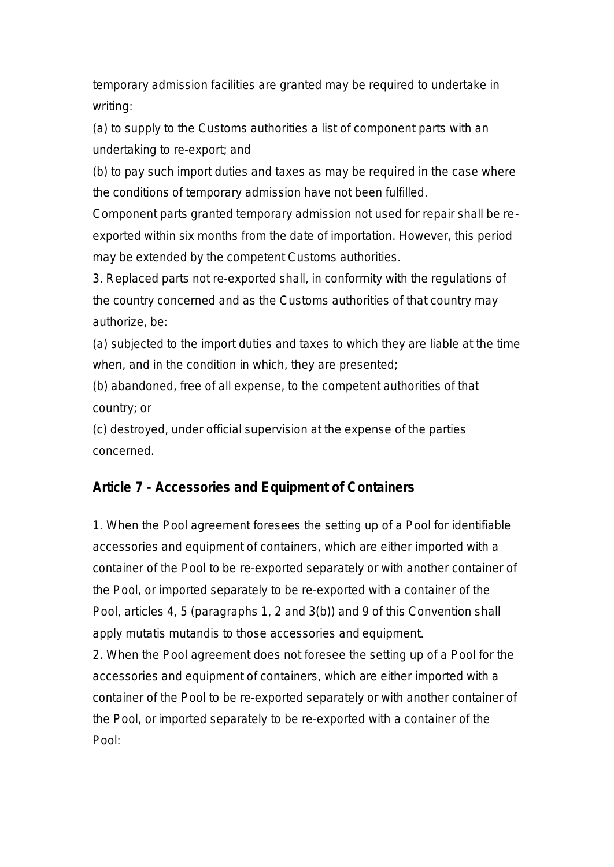temporary admission facilities are granted may be required to undertake in writing:

(a) to supply to the Customs authorities a list of component parts with an undertaking to re-export; and

(b) to pay such import duties and taxes as may be required in the case where the conditions of temporary admission have not been fulfilled.

Component parts granted temporary admission not used for repair shall be reexported within six months from the date of importation. However, this period may be extended by the competent Customs authorities.

3. Replaced parts not re-exported shall, in conformity with the regulations of the country concerned and as the Customs authorities of that country may authorize, be:

(a) subjected to the import duties and taxes to which they are liable at the time when, and in the condition in which, they are presented;

(b) abandoned, free of all expense, to the competent authorities of that country; or

(c) destroyed, under official supervision at the expense of the parties concerned.

#### **Article 7 - Accessories and Equipment of Containers**

1. When the Pool agreement foresees the setting up of a Pool for identifiable accessories and equipment of containers, which are either imported with a container of the Pool to be re-exported separately or with another container of the Pool, or imported separately to be re-exported with a container of the Pool, articles 4, 5 (paragraphs 1, 2 and 3(b)) and 9 of this Convention shall apply mutatis mutandis to those accessories and equipment.

2. When the Pool agreement does not foresee the setting up of a Pool for the accessories and equipment of containers, which are either imported with a container of the Pool to be re-exported separately or with another container of the Pool, or imported separately to be re-exported with a container of the Pool: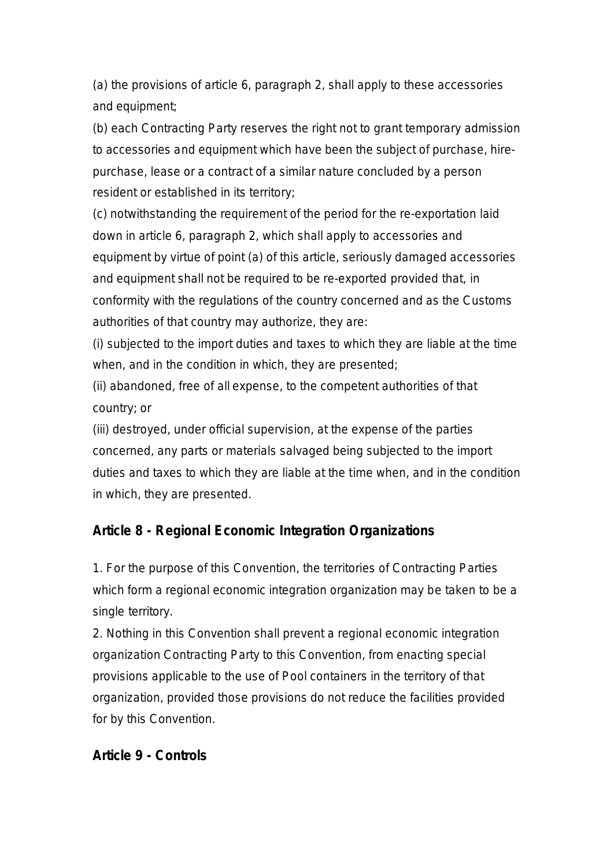(a) the provisions of article 6, paragraph 2, shall apply to these accessories and equipment;

(b) each Contracting Party reserves the right not to grant temporary admission to accessories and equipment which have been the subject of purchase, hirepurchase, lease or a contract of a similar nature concluded by a person resident or established in its territory;

(c) notwithstanding the requirement of the period for the re-exportation laid down in article 6, paragraph 2, which shall apply to accessories and equipment by virtue of point (a) of this article, seriously damaged accessories and equipment shall not be required to be re-exported provided that, in conformity with the regulations of the country concerned and as the Customs authorities of that country may authorize, they are:

(i) subjected to the import duties and taxes to which they are liable at the time when, and in the condition in which, they are presented;

(ii) abandoned, free of all expense, to the competent authorities of that country; or

(iii) destroyed, under official supervision, at the expense of the parties concerned, any parts or materials salvaged being subjected to the import duties and taxes to which they are liable at the time when, and in the condition in which, they are presented.

#### **Article 8 - Regional Economic Integration Organizations**

1. For the purpose of this Convention, the territories of Contracting Parties which form a regional economic integration organization may be taken to be a single territory.

2. Nothing in this Convention shall prevent a regional economic integration organization Contracting Party to this Convention, from enacting special provisions applicable to the use of Pool containers in the territory of that organization, provided those provisions do not reduce the facilities provided for by this Convention.

#### **Article 9 - Controls**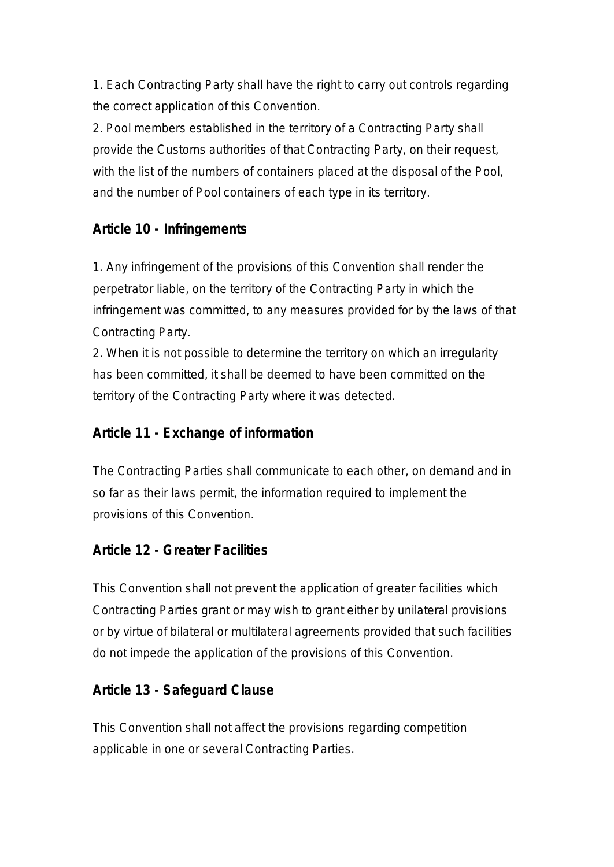1. Each Contracting Party shall have the right to carry out controls regarding the correct application of this Convention.

2. Pool members established in the territory of a Contracting Party shall provide the Customs authorities of that Contracting Party, on their request, with the list of the numbers of containers placed at the disposal of the Pool, and the number of Pool containers of each type in its territory.

## **Article 10 - Infringements**

1. Any infringement of the provisions of this Convention shall render the perpetrator liable, on the territory of the Contracting Party in which the infringement was committed, to any measures provided for by the laws of that Contracting Party.

2. When it is not possible to determine the territory on which an irregularity has been committed, it shall be deemed to have been committed on the territory of the Contracting Party where it was detected.

### **Article 11 - Exchange of information**

The Contracting Parties shall communicate to each other, on demand and in so far as their laws permit, the information required to implement the provisions of this Convention.

#### **Article 12 - Greater Facilities**

This Convention shall not prevent the application of greater facilities which Contracting Parties grant or may wish to grant either by unilateral provisions or by virtue of bilateral or multilateral agreements provided that such facilities do not impede the application of the provisions of this Convention.

#### **Article 13 - Safeguard Clause**

This Convention shall not affect the provisions regarding competition applicable in one or several Contracting Parties.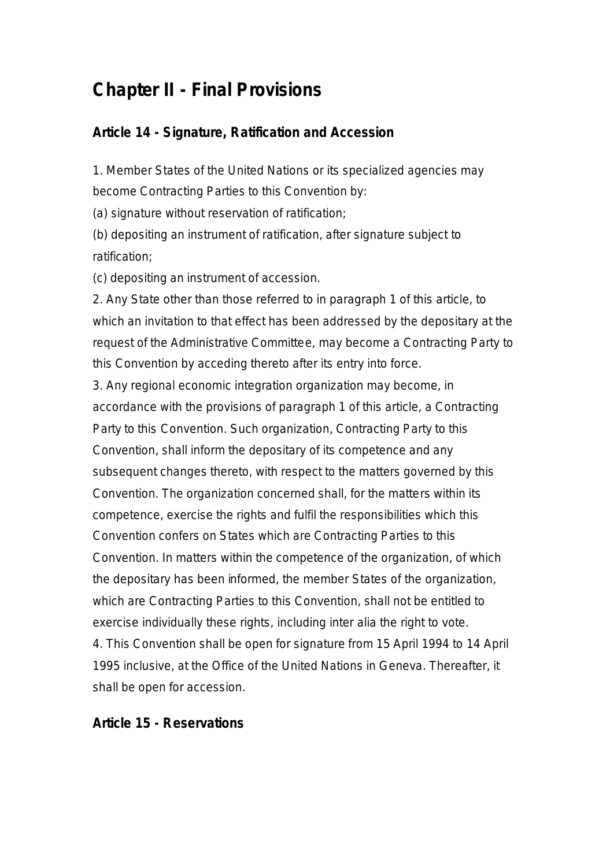# **Chapter II - Final Provisions**

#### **Article 14 - Signature, Ratification and Accession**

1. Member States of the United Nations or its specialized agencies may become Contracting Parties to this Convention by:

(a) signature without reservation of ratification;

(b) depositing an instrument of ratification, after signature subject to ratification;

(c) depositing an instrument of accession.

2. Any State other than those referred to in paragraph 1 of this article, to which an invitation to that effect has been addressed by the depositary at the request of the Administrative Committee, may become a Contracting Party to this Convention by acceding thereto after its entry into force.

3. Any regional economic integration organization may become, in accordance with the provisions of paragraph 1 of this article, a Contracting Party to this Convention. Such organization, Contracting Party to this Convention, shall inform the depositary of its competence and any subsequent changes thereto, with respect to the matters governed by this Convention. The organization concerned shall, for the matters within its competence, exercise the rights and fulfil the responsibilities which this Convention confers on States which are Contracting Parties to this Convention. In matters within the competence of the organization, of which the depositary has been informed, the member States of the organization, which are Contracting Parties to this Convention, shall not be entitled to exercise individually these rights, including inter alia the right to vote. 4. This Convention shall be open for signature from 15 April 1994 to 14 April 1995 inclusive, at the Office of the United Nations in Geneva. Thereafter, it shall be open for accession.

#### **Article 15 - Reservations**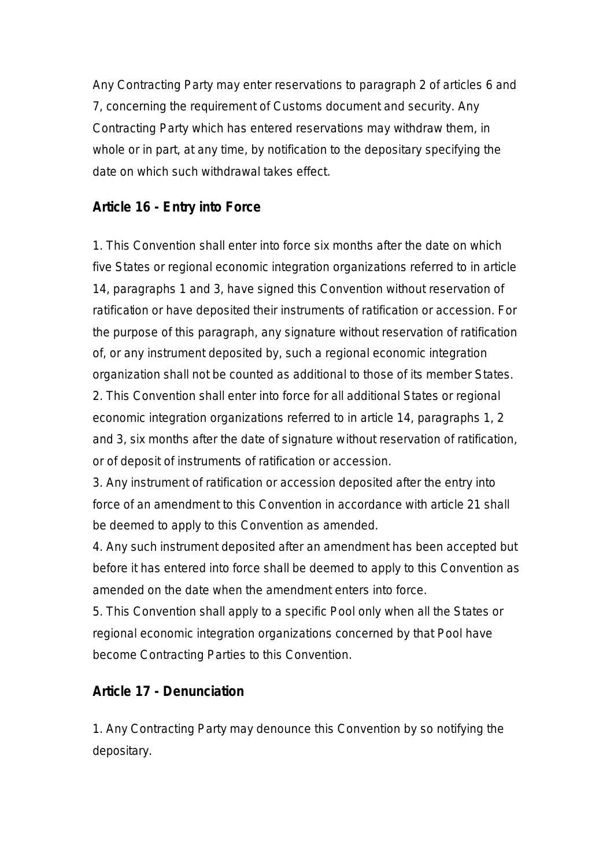Any Contracting Party may enter reservations to paragraph 2 of articles 6 and 7, concerning the requirement of Customs document and security. Any Contracting Party which has entered reservations may withdraw them, in whole or in part, at any time, by notification to the depositary specifying the date on which such withdrawal takes effect.

## **Article 16 - Entry into Force**

1. This Convention shall enter into force six months after the date on which five States or regional economic integration organizations referred to in article 14, paragraphs 1 and 3, have signed this Convention without reservation of ratification or have deposited their instruments of ratification or accession. For the purpose of this paragraph, any signature without reservation of ratification of, or any instrument deposited by, such a regional economic integration organization shall not be counted as additional to those of its member States. 2. This Convention shall enter into force for all additional States or regional economic integration organizations referred to in article 14, paragraphs 1, 2 and 3, six months after the date of signature without reservation of ratification, or of deposit of instruments of ratification or accession.

3. Any instrument of ratification or accession deposited after the entry into force of an amendment to this Convention in accordance with article 21 shall be deemed to apply to this Convention as amended.

4. Any such instrument deposited after an amendment has been accepted but before it has entered into force shall be deemed to apply to this Convention as amended on the date when the amendment enters into force.

5. This Convention shall apply to a specific Pool only when all the States or regional economic integration organizations concerned by that Pool have become Contracting Parties to this Convention.

#### **Article 17 - Denunciation**

1. Any Contracting Party may denounce this Convention by so notifying the depositary.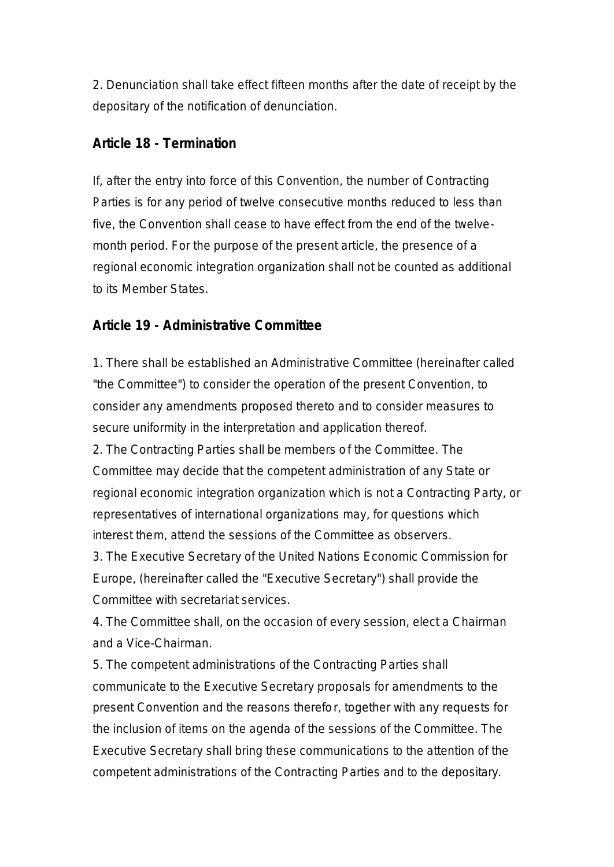2. Denunciation shall take effect fifteen months after the date of receipt by the depositary of the notification of denunciation.

#### **Article 18 - Termination**

If, after the entry into force of this Convention, the number of Contracting Parties is for any period of twelve consecutive months reduced to less than five, the Convention shall cease to have effect from the end of the twelvemonth period. For the purpose of the present article, the presence of a regional economic integration organization shall not be counted as additional to its Member States.

#### **Article 19 - Administrative Committee**

1. There shall be established an Administrative Committee (hereinafter called "the Committee") to consider the operation of the present Convention, to consider any amendments proposed thereto and to consider measures to secure uniformity in the interpretation and application thereof.

2. The Contracting Parties shall be members of the Committee. The Committee may decide that the competent administration of any State or regional economic integration organization which is not a Contracting Party, or representatives of international organizations may, for questions which interest them, attend the sessions of the Committee as observers.

3. The Executive Secretary of the United Nations Economic Commission for Europe, (hereinafter called the "Executive Secretary") shall provide the Committee with secretariat services.

4. The Committee shall, on the occasion of every session, elect a Chairman and a Vice-Chairman.

5. The competent administrations of the Contracting Parties shall communicate to the Executive Secretary proposals for amendments to the present Convention and the reasons therefor, together with any requests for the inclusion of items on the agenda of the sessions of the Committee. The Executive Secretary shall bring these communications to the attention of the competent administrations of the Contracting Parties and to the depositary.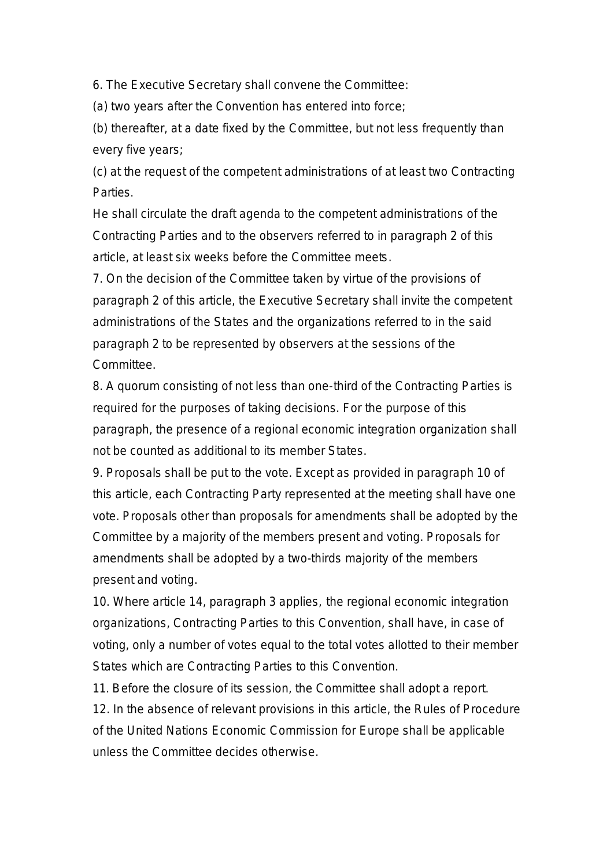6. The Executive Secretary shall convene the Committee:

(a) two years after the Convention has entered into force;

(b) thereafter, at a date fixed by the Committee, but not less frequently than every five years;

(c) at the request of the competent administrations of at least two Contracting Parties.

He shall circulate the draft agenda to the competent administrations of the Contracting Parties and to the observers referred to in paragraph 2 of this article, at least six weeks before the Committee meets.

7. On the decision of the Committee taken by virtue of the provisions of paragraph 2 of this article, the Executive Secretary shall invite the competent administrations of the States and the organizations referred to in the said paragraph 2 to be represented by observers at the sessions of the Committee.

8. A quorum consisting of not less than one-third of the Contracting Parties is required for the purposes of taking decisions. For the purpose of this paragraph, the presence of a regional economic integration organization shall not be counted as additional to its member States.

9. Proposals shall be put to the vote. Except as provided in paragraph 10 of this article, each Contracting Party represented at the meeting shall have one vote. Proposals other than proposals for amendments shall be adopted by the Committee by a majority of the members present and voting. Proposals for amendments shall be adopted by a two-thirds majority of the members present and voting.

10. Where article 14, paragraph 3 applies, the regional economic integration organizations, Contracting Parties to this Convention, shall have, in case of voting, only a number of votes equal to the total votes allotted to their member States which are Contracting Parties to this Convention.

11. Before the closure of its session, the Committee shall adopt a report. 12. In the absence of relevant provisions in this article, the Rules of Procedure of the United Nations Economic Commission for Europe shall be applicable unless the Committee decides otherwise.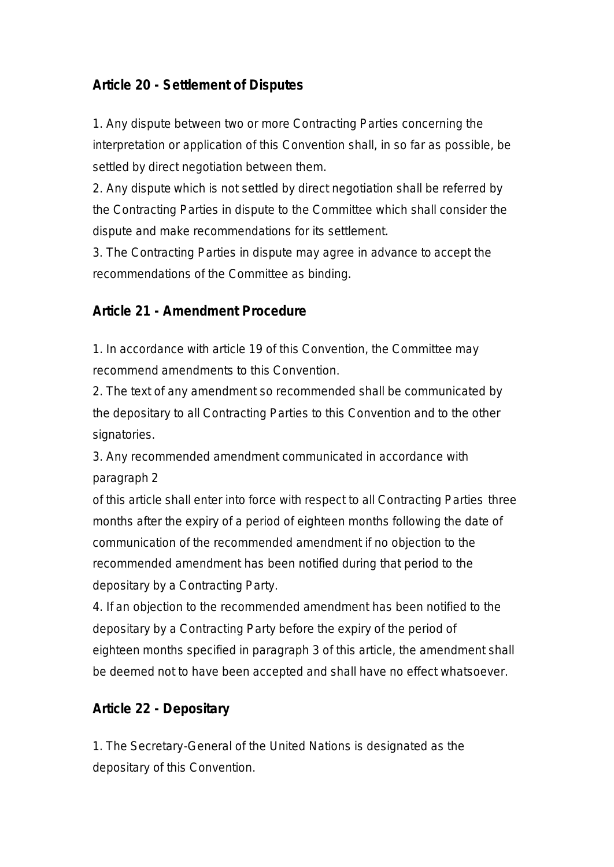## **Article 20 - Settlement of Disputes**

1. Any dispute between two or more Contracting Parties concerning the interpretation or application of this Convention shall, in so far as possible, be settled by direct negotiation between them.

2. Any dispute which is not settled by direct negotiation shall be referred by the Contracting Parties in dispute to the Committee which shall consider the dispute and make recommendations for its settlement.

3. The Contracting Parties in dispute may agree in advance to accept the recommendations of the Committee as binding.

#### **Article 21 - Amendment Procedure**

1. In accordance with article 19 of this Convention, the Committee may recommend amendments to this Convention.

2. The text of any amendment so recommended shall be communicated by the depositary to all Contracting Parties to this Convention and to the other signatories.

3. Any recommended amendment communicated in accordance with paragraph 2

of this article shall enter into force with respect to all Contracting Parties three months after the expiry of a period of eighteen months following the date of communication of the recommended amendment if no objection to the recommended amendment has been notified during that period to the depositary by a Contracting Party.

4. If an objection to the recommended amendment has been notified to the depositary by a Contracting Party before the expiry of the period of eighteen months specified in paragraph 3 of this article, the amendment shall be deemed not to have been accepted and shall have no effect whatsoever.

#### **Article 22 - Depositary**

1. The Secretary-General of the United Nations is designated as the depositary of this Convention.